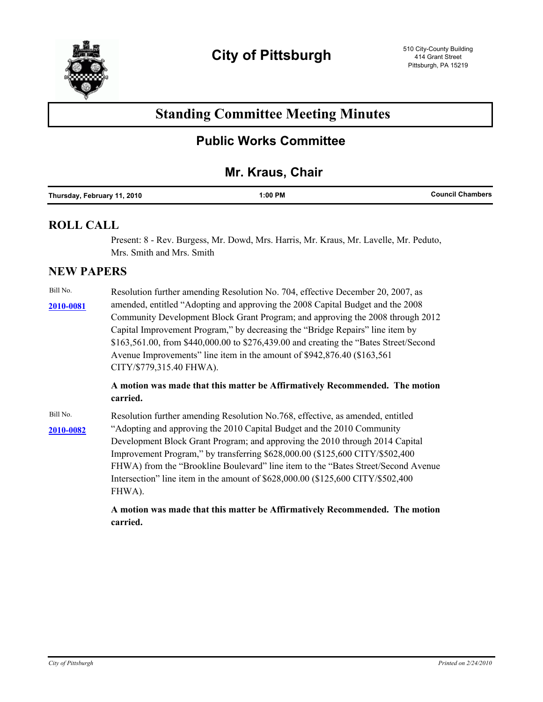

# **Standing Committee Meeting Minutes**

## **Public Works Committee**

## **Mr. Kraus, Chair**

### **ROLL CALL**

Present: 8 - Rev. Burgess, Mr. Dowd, Mrs. Harris, Mr. Kraus, Mr. Lavelle, Mr. Peduto, Mrs. Smith and Mrs. Smith

### **NEW PAPERS**

Bill No. Resolution further amending Resolution No. 704, effective December 20, 2007, as amended, entitled "Adopting and approving the 2008 Capital Budget and the 2008 **[2010-0081](http://pittsburgh.legistar.com/gateway.aspx/matter.aspx?key=12584)** Community Development Block Grant Program; and approving the 2008 through 2012 Capital Improvement Program," by decreasing the "Bridge Repairs" line item by \$163,561.00, from \$440,000.00 to \$276,439.00 and creating the "Bates Street/Second Avenue Improvements" line item in the amount of \$942,876.40 (\$163,561 CITY/\$779,315.40 FHWA).

> **A motion was made that this matter be Affirmatively Recommended. The motion carried.**

Bill No. Resolution further amending Resolution No.768, effective, as amended, entitled [2010-0082](http://pittsburgh.legistar.com/gateway.aspx/matter.aspx?key=12585) <br>
<sup>2010-0082</sup> <br>
<sup>2010-0082</sup> <br>
<sup>2010-0082</sup> Development Block Grant Program; and approving the 2010 through 2014 Capital Improvement Program," by transferring \$628,000.00 (\$125,600 CITY/\$502,400 FHWA) from the "Brookline Boulevard" line item to the "Bates Street/Second Avenue Intersection" line item in the amount of \$628,000.00 (\$125,600 CITY/\$502,400 FHWA).

> **A motion was made that this matter be Affirmatively Recommended. The motion carried.**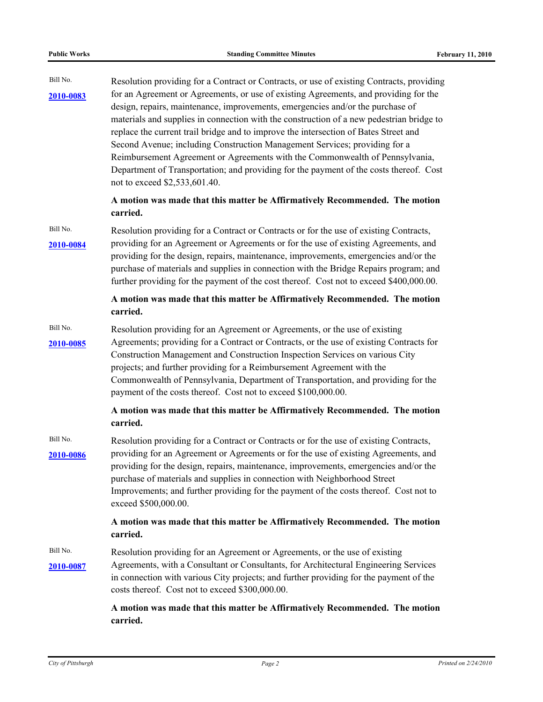| Bill No.<br>2010-0083 | Resolution providing for a Contract or Contracts, or use of existing Contracts, providing<br>for an Agreement or Agreements, or use of existing Agreements, and providing for the<br>design, repairs, maintenance, improvements, emergencies and/or the purchase of<br>materials and supplies in connection with the construction of a new pedestrian bridge to<br>replace the current trail bridge and to improve the intersection of Bates Street and<br>Second Avenue; including Construction Management Services; providing for a<br>Reimbursement Agreement or Agreements with the Commonwealth of Pennsylvania,<br>Department of Transportation; and providing for the payment of the costs thereof. Cost<br>not to exceed \$2,533,601.40. |
|-----------------------|--------------------------------------------------------------------------------------------------------------------------------------------------------------------------------------------------------------------------------------------------------------------------------------------------------------------------------------------------------------------------------------------------------------------------------------------------------------------------------------------------------------------------------------------------------------------------------------------------------------------------------------------------------------------------------------------------------------------------------------------------|
|                       | A motion was made that this matter be Affirmatively Recommended. The motion<br>carried.                                                                                                                                                                                                                                                                                                                                                                                                                                                                                                                                                                                                                                                          |
| Bill No.<br>2010-0084 | Resolution providing for a Contract or Contracts or for the use of existing Contracts,<br>providing for an Agreement or Agreements or for the use of existing Agreements, and<br>providing for the design, repairs, maintenance, improvements, emergencies and/or the<br>purchase of materials and supplies in connection with the Bridge Repairs program; and<br>further providing for the payment of the cost thereof. Cost not to exceed \$400,000.00.                                                                                                                                                                                                                                                                                        |
|                       | A motion was made that this matter be Affirmatively Recommended. The motion<br>carried.                                                                                                                                                                                                                                                                                                                                                                                                                                                                                                                                                                                                                                                          |
| Bill No.<br>2010-0085 | Resolution providing for an Agreement or Agreements, or the use of existing<br>Agreements; providing for a Contract or Contracts, or the use of existing Contracts for<br>Construction Management and Construction Inspection Services on various City<br>projects; and further providing for a Reimbursement Agreement with the<br>Commonwealth of Pennsylvania, Department of Transportation, and providing for the<br>payment of the costs thereof. Cost not to exceed \$100,000.00.                                                                                                                                                                                                                                                          |
|                       | A motion was made that this matter be Affirmatively Recommended. The motion<br>carried.                                                                                                                                                                                                                                                                                                                                                                                                                                                                                                                                                                                                                                                          |
| Bill No.<br>2010-0086 | Resolution providing for a Contract or Contracts or for the use of existing Contracts,<br>providing for an Agreement or Agreements or for the use of existing Agreements, and<br>providing for the design, repairs, maintenance, improvements, emergencies and/or the<br>purchase of materials and supplies in connection with Neighborhood Street<br>Improvements; and further providing for the payment of the costs thereof. Cost not to<br>exceed \$500,000.00.                                                                                                                                                                                                                                                                              |
|                       | A motion was made that this matter be Affirmatively Recommended. The motion<br>carried.                                                                                                                                                                                                                                                                                                                                                                                                                                                                                                                                                                                                                                                          |
| Bill No.<br>2010-0087 | Resolution providing for an Agreement or Agreements, or the use of existing<br>Agreements, with a Consultant or Consultants, for Architectural Engineering Services<br>in connection with various City projects; and further providing for the payment of the<br>costs thereof. Cost not to exceed \$300,000.00.                                                                                                                                                                                                                                                                                                                                                                                                                                 |
|                       | A motion was made that this matter be Affirmatively Recommended. The motion<br>carried.                                                                                                                                                                                                                                                                                                                                                                                                                                                                                                                                                                                                                                                          |